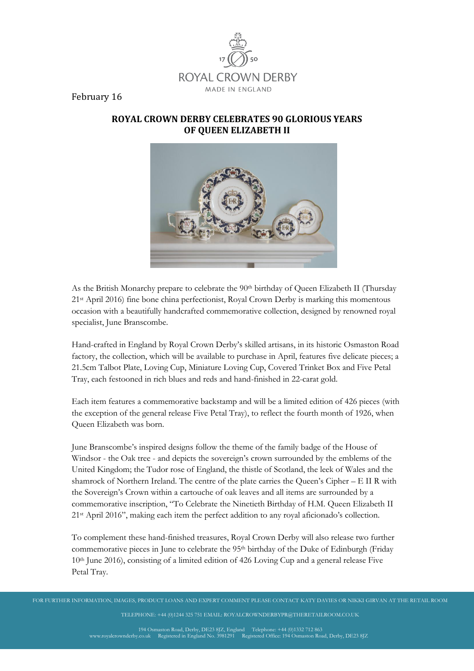

February 16

## **ROYAL CROWN DERBY CELEBRATES 90 GLORIOUS YEARS OF QUEEN ELIZABETH II**



As the British Monarchy prepare to celebrate the  $90<sup>th</sup>$  birthday of Queen Elizabeth II (Thursday 21st April 2016) fine bone china perfectionist, Royal Crown Derby is marking this momentous occasion with a beautifully handcrafted commemorative collection, designed by renowned royal specialist, June Branscombe.

Hand-crafted in England by Royal Crown Derby's skilled artisans, in its historic Osmaston Road factory, the collection, which will be available to purchase in April, features five delicate pieces; a 21.5cm Talbot Plate, Loving Cup, Miniature Loving Cup, Covered Trinket Box and Five Petal Tray, each festooned in rich blues and reds and hand-finished in 22-carat gold.

Each item features a commemorative backstamp and will be a limited edition of 426 pieces (with the exception of the general release Five Petal Tray), to reflect the fourth month of 1926, when Queen Elizabeth was born.

June Branscombe's inspired designs follow the theme of the family badge of the House of Windsor - the Oak tree - and depicts the sovereign's crown surrounded by the emblems of the United Kingdom; the Tudor rose of England, the thistle of Scotland, the leek of Wales and the shamrock of Northern Ireland. The centre of the plate carries the Queen's Cipher – E II R with the Sovereign's Crown within a cartouche of oak leaves and all items are surrounded by a commemorative inscription, "To Celebrate the Ninetieth Birthday of H.M. Queen Elizabeth II 21st April 2016", making each item the perfect addition to any royal aficionado's collection.

To complement these hand-finished treasures, Royal Crown Derby will also release two further commemorative pieces in June to celebrate the 95th birthday of the Duke of Edinburgh (Friday 10th June 2016), consisting of a limited edition of 426 Loving Cup and a general release Five Petal Tray.

FOR FURTHER INFORMATION, IMAGES, PRODUCT LOANS AND EXPERT COMMENT PLEASE CONTACT KATY DAVIES OR NIKKI GIRVAN AT THE RETAIL ROOM

TELEPHONE: +44 (0)1244 325 751 EMAIL: ROYALCROWNDERBYPR@THERETAILROOM.CO.UK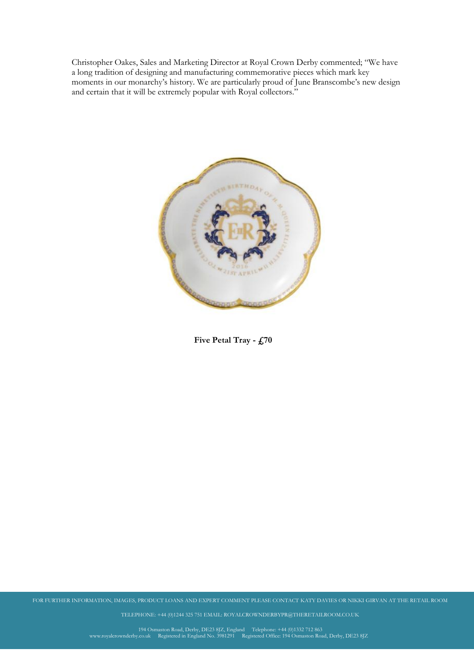Christopher Oakes, Sales and Marketing Director at Royal Crown Derby commented; "We have a long tradition of designing and manufacturing commemorative pieces which mark key moments in our monarchy's history. We are particularly proud of June Branscombe's new design and certain that it will be extremely popular with Royal collectors."



**Five Petal Tray - £70**

FOR FURTHER INFORMATION, IMAGES, PRODUCT LOANS AND EXPERT COMMENT PLEASE CONTACT KATY DAVIES OR NIKKI GIRVAN AT THE RETAIL ROOM

TELEPHONE: +44 (0)1244 325 751 EMAIL: ROYALCROWNDERBYPR@THERETAILROOM.CO.UK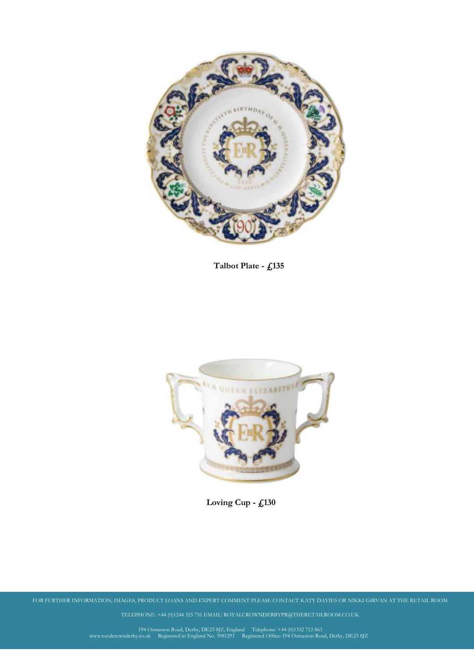

**Talbot Plate - £135**



**Covered Trinket Box - £115 Loving Cup - £130**

FOR FURTHER INFORMATION, IMAGES, PRODUCT LOANS AND EXPERT COMMENT PLEASE CONTACT KATY DAVIES OR NIKKI GIRVAN AT THE RETAIL ROOM

TELEPHONE: +44 (0)1244 325 751 EMAIL: ROYALCROWNDERBYPR@THERETAILROOM.CO.UK

194 Osmaston Road, Derby, DE23 8JZ, England Telephone: +44 (0)1332 712 863<br>www.royalcrownderby.co.uk Registered in England No. 3981291 Registered Office: 194 Osmaston Road, Derby, DE23 8JZ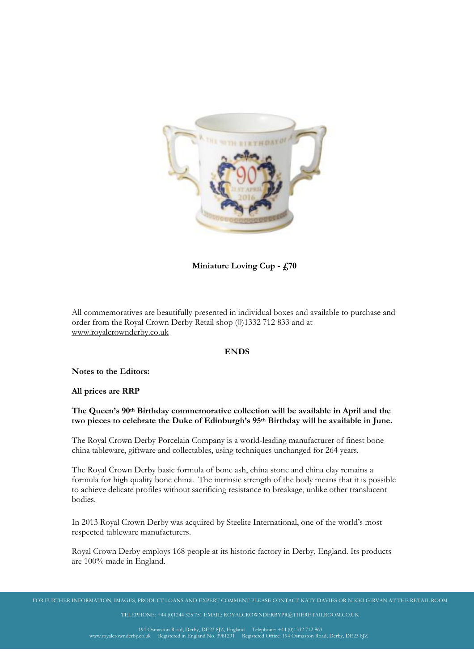

**Miniature Loving Cup - £70**

All commemoratives are beautifully presented in individual boxes and available to purchase and order from the Royal Crown Derby Retail shop (0)1332 712 833 and at [www.royalcrownderby.co.uk](http://www.royalcrownderby.co.uk/)

## **ENDS**

**Notes to the Editors:**

**All prices are RRP**

## **The Queen's 90th Birthday commemorative collection will be available in April and the two pieces to celebrate the Duke of Edinburgh's 95th Birthday will be available in June.**

The Royal Crown Derby Porcelain Company is a world-leading manufacturer of finest bone china tableware, giftware and collectables, using techniques unchanged for 264 years.

The Royal Crown Derby basic formula of bone ash, china stone and china clay remains a formula for high quality bone china. The intrinsic strength of the body means that it is possible to achieve delicate profiles without sacrificing resistance to breakage, unlike other translucent bodies.

In 2013 Royal Crown Derby was acquired by Steelite International, one of the world's most respected tableware manufacturers.

Royal Crown Derby employs 168 people at its historic factory in Derby, England. Its products are 100% made in England.

TELEPHONE: +44 (0)1244 325 751 EMAIL: ROYALCROWNDERBYPR@THERETAILROOM.CO.UK